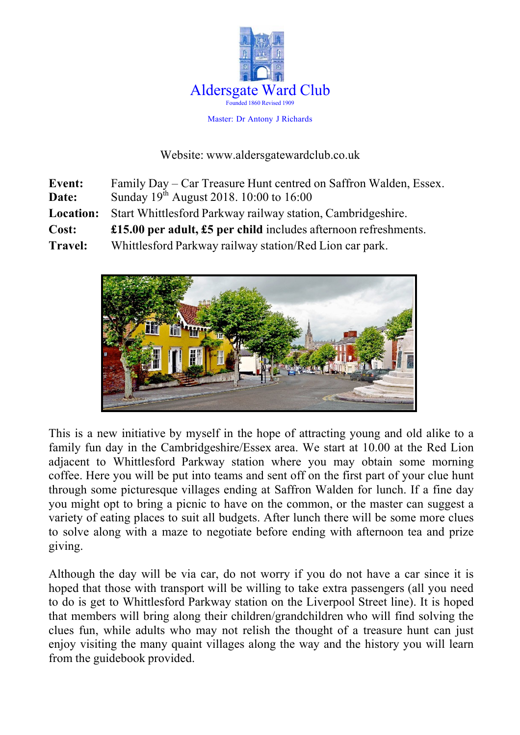

Master: Dr Antony J Richards

Website: www.aldersgatewardclub.co.uk

| <b>Event:</b>  | Family Day – Car Treasure Hunt centred on Saffron Walden, Essex.  |
|----------------|-------------------------------------------------------------------|
| Date:          | Sunday 19 <sup>th</sup> August 2018. 10:00 to 16:00               |
| Location:      | Start Whittlesford Parkway railway station, Cambridgeshire.       |
| Cost:          | £15.00 per adult, $£5$ per child includes afternoon refreshments. |
| <b>Travel:</b> | Whittlesford Parkway railway station/Red Lion car park.           |



This is a new initiative by myself in the hope of attracting young and old alike to a family fun day in the Cambridgeshire/Essex area. We start at 10.00 at the Red Lion adjacent to Whittlesford Parkway station where you may obtain some morning coffee. Here you will be put into teams and sent off on the first part of your clue hunt through some picturesque villages ending at Saffron Walden for lunch. If a fine day you might opt to bring a picnic to have on the common, or the master can suggest a variety of eating places to suit all budgets. After lunch there will be some more clues to solve along with a maze to negotiate before ending with afternoon tea and prize giving.

Although the day will be via car, do not worry if you do not have a car since it is hoped that those with transport will be willing to take extra passengers (all you need to do is get to Whittlesford Parkway station on the Liverpool Street line). It is hoped that members will bring along their children/grandchildren who will find solving the clues fun, while adults who may not relish the thought of a treasure hunt can just enjoy visiting the many quaint villages along the way and the history you will learn from the guidebook provided.